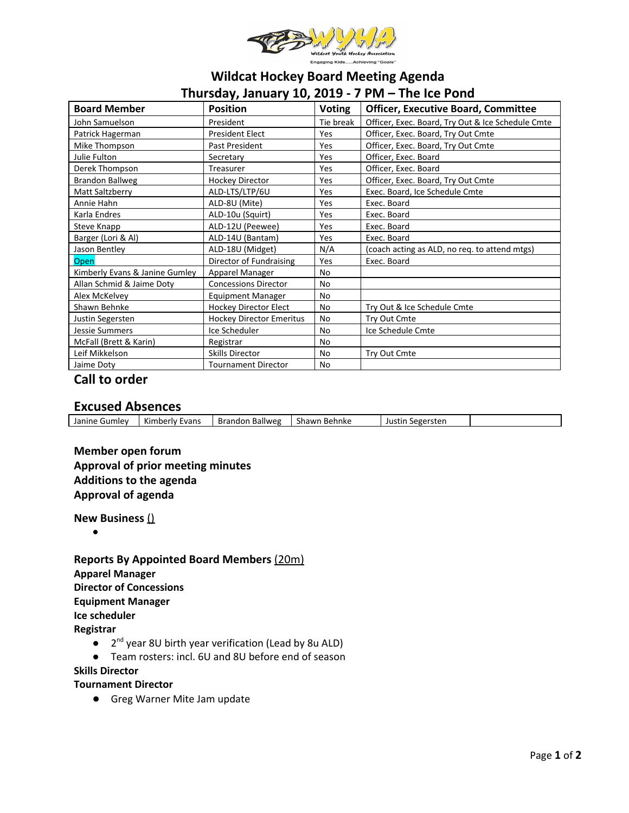

# **Wildcat Hockey Board Meeting Agenda Thursday, January 10, 2019 - 7 PM – The Ice Pond**

| <b>Board Member</b>            | <b>Position</b>             | <b>Voting</b> | <b>Officer, Executive Board, Committee</b>        |  |  |  |  |
|--------------------------------|-----------------------------|---------------|---------------------------------------------------|--|--|--|--|
| John Samuelson                 | President                   | Tie break     | Officer, Exec. Board, Try Out & Ice Schedule Cmte |  |  |  |  |
| Patrick Hagerman               | <b>President Elect</b>      | Yes           | Officer, Exec. Board, Try Out Cmte                |  |  |  |  |
| Mike Thompson                  | Past President              | Yes           | Officer, Exec. Board, Try Out Cmte                |  |  |  |  |
| Julie Fulton                   | Secretary                   | Yes           | Officer, Exec. Board                              |  |  |  |  |
| Derek Thompson                 | Treasurer                   | Yes           | Officer, Exec. Board                              |  |  |  |  |
| <b>Brandon Ballweg</b>         | <b>Hockey Director</b>      | Yes           | Officer, Exec. Board, Try Out Cmte                |  |  |  |  |
| Matt Saltzberry                | ALD-LTS/LTP/6U              | Yes           | Exec. Board, Ice Schedule Cmte                    |  |  |  |  |
| Annie Hahn                     | ALD-8U (Mite)               | Yes           | Exec. Board                                       |  |  |  |  |
| Karla Endres                   | ALD-10u (Squirt)            | Yes           | Exec. Board                                       |  |  |  |  |
| Steve Knapp                    | ALD-12U (Peewee)            | Yes           | Exec. Board                                       |  |  |  |  |
| Barger (Lori & Al)             | ALD-14U (Bantam)            | Yes           | Exec. Board                                       |  |  |  |  |
| Jason Bentley                  | ALD-18U (Midget)            | N/A           | (coach acting as ALD, no req. to attend mtgs)     |  |  |  |  |
| Open                           | Director of Fundraising     | Yes           | Exec. Board                                       |  |  |  |  |
| Kimberly Evans & Janine Gumley | Apparel Manager             | No            |                                                   |  |  |  |  |
| Allan Schmid & Jaime Doty      | <b>Concessions Director</b> | No            |                                                   |  |  |  |  |
| Alex McKelvey                  | <b>Equipment Manager</b>    | No            |                                                   |  |  |  |  |
| Shawn Behnke                   | Hockey Director Elect       | No            | Try Out & Ice Schedule Cmte                       |  |  |  |  |
| Justin Segersten               | Hockey Director Emeritus    | <b>No</b>     | Try Out Cmte                                      |  |  |  |  |
| <b>Jessie Summers</b>          | Ice Scheduler               | No            | Ice Schedule Cmte                                 |  |  |  |  |
| McFall (Brett & Karin)         | Registrar                   | No            |                                                   |  |  |  |  |
| Leif Mikkelson                 | <b>Skills Director</b>      | No            | Try Out Cmte                                      |  |  |  |  |
| Jaime Doty                     | <b>Tournament Director</b>  | No            |                                                   |  |  |  |  |

# **Call to order**

## **Excused Absences**

| Kimberly Evans<br><b>Brandon Ballweg</b><br>Janine Gumley<br>Shawn Behnke<br>Justin Segersten |  |  |  |
|-----------------------------------------------------------------------------------------------|--|--|--|
|                                                                                               |  |  |  |

# **Member open forum Approval of prior meeting minutes Additions to the agenda Approval of agenda**

**New Business** ()

●

**Reports By Appointed Board Members** (20m) **Apparel Manager Director of Concessions Equipment Manager Ice scheduler Registrar**

- 2<sup>nd</sup> year 8U birth year verification (Lead by 8u ALD)
- Team rosters: incl. 6U and 8U before end of season

#### **Skills Director**

#### **Tournament Director**

**●** Greg Warner Mite Jam update